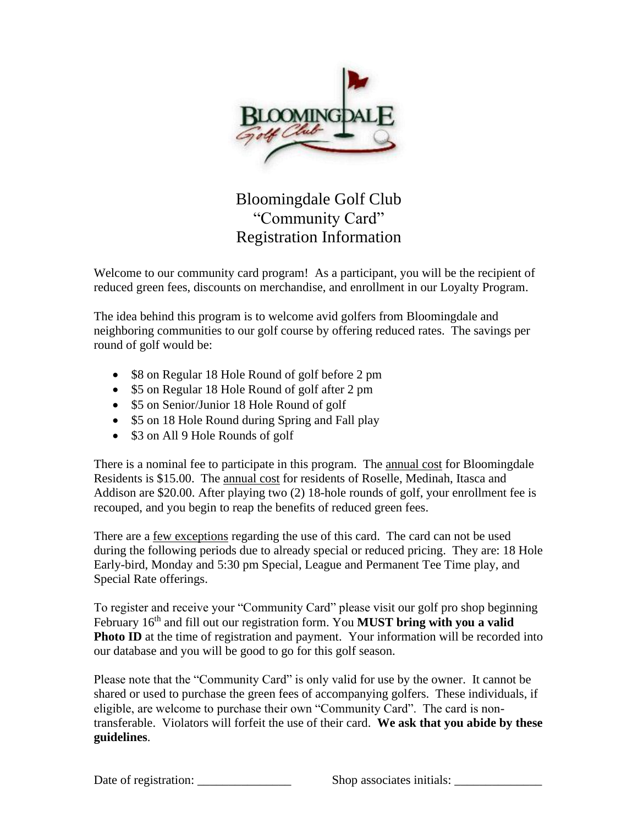

## Bloomingdale Golf Club "Community Card" Registration Information

Welcome to our community card program! As a participant, you will be the recipient of reduced green fees, discounts on merchandise, and enrollment in our Loyalty Program.

The idea behind this program is to welcome avid golfers from Bloomingdale and neighboring communities to our golf course by offering reduced rates. The savings per round of golf would be:

- \$8 on Regular 18 Hole Round of golf before 2 pm
- \$5 on Regular 18 Hole Round of golf after 2 pm
- \$5 on Senior/Junior 18 Hole Round of golf
- \$5 on 18 Hole Round during Spring and Fall play
- \$3 on All 9 Hole Rounds of golf

There is a nominal fee to participate in this program. The annual cost for Bloomingdale Residents is \$15.00. The annual cost for residents of Roselle, Medinah, Itasca and Addison are \$20.00. After playing two (2) 18-hole rounds of golf, your enrollment fee is recouped, and you begin to reap the benefits of reduced green fees.

There are a few exceptions regarding the use of this card. The card can not be used during the following periods due to already special or reduced pricing. They are: 18 Hole Early-bird, Monday and 5:30 pm Special, League and Permanent Tee Time play, and Special Rate offerings.

To register and receive your "Community Card" please visit our golf pro shop beginning February 16<sup>th</sup> and fill out our registration form. You **MUST bring with you a valid Photo ID** at the time of registration and payment. Your information will be recorded into our database and you will be good to go for this golf season.

Please note that the "Community Card" is only valid for use by the owner. It cannot be shared or used to purchase the green fees of accompanying golfers. These individuals, if eligible, are welcome to purchase their own "Community Card". The card is nontransferable. Violators will forfeit the use of their card. **We ask that you abide by these guidelines**.

Date of registration: \_\_\_\_\_\_\_\_\_\_\_\_\_\_\_ Shop associates initials: \_\_\_\_\_\_\_\_\_\_\_\_\_\_